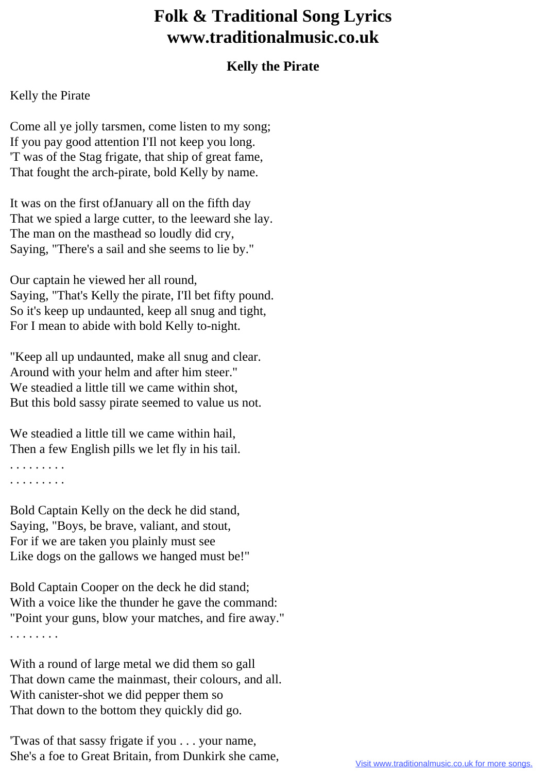## **Folk & Traditional Song Lyrics www.traditionalmusic.co.uk**

## **Kelly the Pirate**

## Kelly the Pirate

Come all ye jolly tarsmen, come listen to my song; If you pay good attention I'Il not keep you long. 'T was of the Stag frigate, that ship of great fame, That fought the arch-pirate, bold Kelly by name.

It was on the first ofJanuary all on the fifth day That we spied a large cutter, to the leeward she lay. The man on the masthead so loudly did cry, Saying, "There's a sail and she seems to lie by."

Our captain he viewed her all round, Saying, "That's Kelly the pirate, I'Il bet fifty pound. So it's keep up undaunted, keep all snug and tight, For I mean to abide with bold Kelly to-night.

"Keep all up undaunted, make all snug and clear. Around with your helm and after him steer." We steadied a little till we came within shot, But this bold sassy pirate seemed to value us not.

We steadied a little till we came within hail, Then a few English pills we let fly in his tail.

. . . . . . . . . . . . . . . . . .

Bold Captain Kelly on the deck he did stand, Saying, "Boys, be brave, valiant, and stout, For if we are taken you plainly must see Like dogs on the gallows we hanged must be!"

Bold Captain Cooper on the deck he did stand; With a voice like the thunder he gave the command: "Point your guns, blow your matches, and fire away." . . . . . . . .

With a round of large metal we did them so gall That down came the mainmast, their colours, and all. With canister-shot we did pepper them so That down to the bottom they quickly did go.

'Twas of that sassy frigate if you . . . your name, She's a foe to Great Britain, from Dunkirk she came,